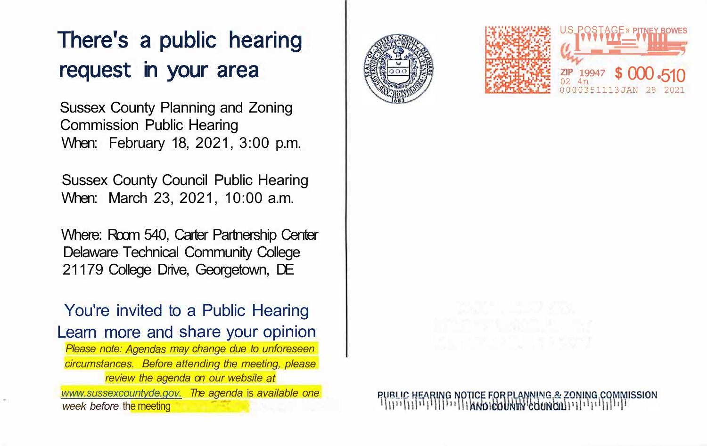## There's a public hearing request in your area

**Sussex County Planning and Zoning Commission Public Hearing** When: February 18, 2021, 3:00 p.m.

**Sussex County Council Public Hearing** When: March 23, 2021, 10:00 a.m.

Where: Room 540, Carter Partnership Center **Delaware Technical Community College** 21179 College Drive, Georgetown, DE

You're invited to a Public Hearing Learn more and share your opinion

Please note: Agendas may change due to unforeseen circumstances. Before attending the meeting, please review the agenda on our website at www.sussexcountyde.gov. The agenda is available one week before the meeting





PUBLIC HEARING NOTICE FOR PLANNING & ZONING COMMISSION